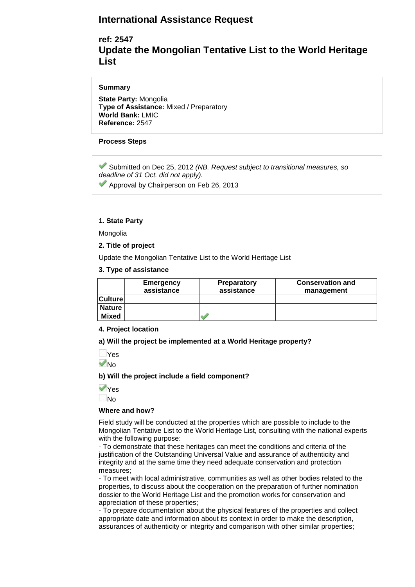# **International Assistance Request**

# **ref: 2547 Update the Mongolian Tentative List to the World Heritage List**

## **Summary**

**State Party:** Mongolia **Type of Assistance:** Mixed / Preparatory **World Bank:** LMIC **Reference:** 2547

## **Process Steps**

Submitted on Dec 25, 2012 *(NB. Request subject to transitional measures, so deadline of 31 Oct. did not apply).*

Approval by Chairperson on Feb 26, 2013

## **1. State Party**

Mongolia

**2. Title of project**

Update the Mongolian Tentative List to the World Heritage List

## **3. Type of assistance**

|                | Emergency<br>assistance | <b>Preparatory</b><br>assistance | <b>Conservation and</b><br>management |
|----------------|-------------------------|----------------------------------|---------------------------------------|
| <b>Culture</b> |                         |                                  |                                       |
| <b>Nature</b>  |                         |                                  |                                       |
| <b>Mixed</b>   |                         |                                  |                                       |

#### **4. Project location**

**a) Will the project be implemented at a World Heritage property?** 

Yes **V**<sub>No</sub>

**b) Will the project include a field component?** 

Yes No

#### **Where and how?**

Field study will be conducted at the properties which are possible to include to the Mongolian Tentative List to the World Heritage List, consulting with the national experts with the following purpose:

- To demonstrate that these heritages can meet the conditions and criteria of the justification of the Outstanding Universal Value and assurance of authenticity and integrity and at the same time they need adequate conservation and protection measures;

- To meet with local administrative, communities as well as other bodies related to the properties, to discuss about the cooperation on the preparation of further nomination dossier to the World Heritage List and the promotion works for conservation and appreciation of these properties;

- To prepare documentation about the physical features of the properties and collect appropriate date and information about its context in order to make the description, assurances of authenticity or integrity and comparison with other similar properties;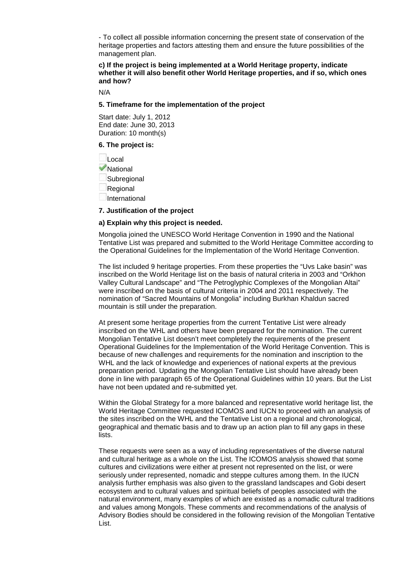- To collect all possible information concerning the present state of conservation of the heritage properties and factors attesting them and ensure the future possibilities of the management plan.

**c) If the project is being implemented at a World Heritage property, indicate whether it will also benefit other World Heritage properties, and if so, which ones and how?** 

N/A

#### **5. Timeframe for the implementation of the project**

Start date: July 1, 2012 End date: June 30, 2013 Duration: 10 month(s)

#### **6. The project is:**

Local **V**National Subregional Regional International

#### **7. Justification of the project**

#### **a) Explain why this project is needed.**

Mongolia joined the UNESCO World Heritage Convention in 1990 and the National Tentative List was prepared and submitted to the World Heritage Committee according to the Operational Guidelines for the Implementation of the World Heritage Convention.

The list included 9 heritage properties. From these properties the "Uvs Lake basin" was inscribed on the World Heritage list on the basis of natural criteria in 2003 and "Orkhon Valley Cultural Landscape" and "The Petroglyphic Complexes of the Mongolian Altai" were inscribed on the basis of cultural criteria in 2004 and 2011 respectively. The nomination of "Sacred Mountains of Mongolia" including Burkhan Khaldun sacred mountain is still under the preparation.

At present some heritage properties from the current Tentative List were already inscribed on the WHL and others have been prepared for the nomination. The current Mongolian Tentative List doesn't meet completely the requirements of the present Operational Guidelines for the Implementation of the World Heritage Convention. This is because of new challenges and requirements for the nomination and inscription to the WHL and the lack of knowledge and experiences of national experts at the previous preparation period. Updating the Mongolian Tentative List should have already been done in line with paragraph 65 of the Operational Guidelines within 10 years. But the List have not been updated and re-submitted yet.

Within the Global Strategy for a more balanced and representative world heritage list, the World Heritage Committee requested ICOMOS and IUCN to proceed with an analysis of the sites inscribed on the WHL and the Tentative List on a regional and chronological, geographical and thematic basis and to draw up an action plan to fill any gaps in these lists.

These requests were seen as a way of including representatives of the diverse natural and cultural heritage as a whole on the List. The ICOMOS analysis showed that some cultures and civilizations were either at present not represented on the list, or were seriously under represented, nomadic and steppe cultures among them. In the IUCN analysis further emphasis was also given to the grassland landscapes and Gobi desert ecosystem and to cultural values and spiritual beliefs of peoples associated with the natural environment, many examples of which are existed as a nomadic cultural traditions and values among Mongols. These comments and recommendations of the analysis of Advisory Bodies should be considered in the following revision of the Mongolian Tentative List.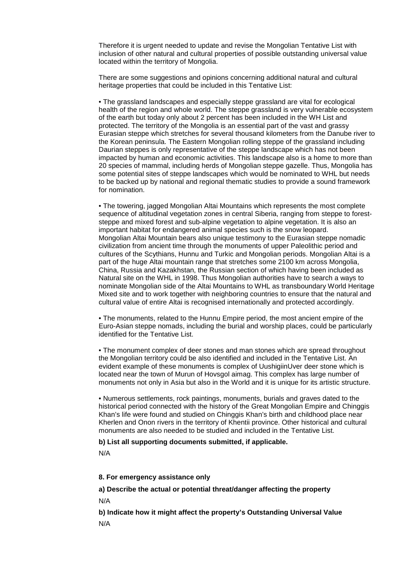Therefore it is urgent needed to update and revise the Mongolian Tentative List with inclusion of other natural and cultural properties of possible outstanding universal value located within the territory of Mongolia.

There are some suggestions and opinions concerning additional natural and cultural heritage properties that could be included in this Tentative List:

• The grassland landscapes and especially steppe grassland are vital for ecological health of the region and whole world. The steppe grassland is very vulnerable ecosystem of the earth but today only about 2 percent has been included in the WH List and protected. The territory of the Mongolia is an essential part of the vast and grassy Eurasian steppe which stretches for several thousand kilometers from the Danube river to the Korean peninsula. The Eastern Mongolian rolling steppe of the grassland including Daurian steppes is only representative of the steppe landscape which has not been impacted by human and economic activities. This landscape also is a home to more than 20 species of mammal, including herds of Mongolian steppe gazelle. Thus, Mongolia has some potential sites of steppe landscapes which would be nominated to WHL but needs to be backed up by national and regional thematic studies to provide a sound framework for nomination.

• The towering, jagged Mongolian Altai Mountains which represents the most complete sequence of altitudinal vegetation zones in central Siberia, ranging from steppe to foreststeppe and mixed forest and sub-alpine vegetation to alpine vegetation. It is also an important habitat for endangered animal species such is the snow leopard. Mongolian Altai Mountain bears also unique testimony to the Eurasian steppe nomadic civilization from ancient time through the monuments of upper Paleolithic period and cultures of the Scythians, Hunnu and Turkic and Mongolian periods. Mongolian Altai is a part of the huge Altai mountain range that stretches some 2100 km across Mongolia, China, Russia and Kazakhstan, the Russian section of which having been included as Natural site on the WHL in 1998. Thus Mongolian authorities have to search a ways to nominate Mongolian side of the Altai Mountains to WHL as transboundary World Heritage Mixed site and to work together with neighboring countries to ensure that the natural and cultural value of entire Altai is recognised internationally and protected accordingly.

• The monuments, related to the Hunnu Empire period, the most ancient empire of the Euro-Asian steppe nomads, including the burial and worship places, could be particularly identified for the Tentative List.

• The monument complex of deer stones and man stones which are spread throughout the Mongolian territory could be also identified and included in the Tentative List. An evident example of these monuments is complex of UushigiinUver deer stone which is located near the town of Murun of Hovsgol aimag. This complex has large number of monuments not only in Asia but also in the World and it is unique for its artistic structure.

• Numerous settlements, rock paintings, monuments, burials and graves dated to the historical period connected with the history of the Great Mongolian Empire and Chinggis Khan's life were found and studied on Chinggis Khan's birth and childhood place near Kherlen and Onon rivers in the territory of Khentii province. Other historical and cultural monuments are also needed to be studied and included in the Tentative List.

**b) List all supporting documents submitted, if applicable.**

N/A

**8. For emergency assistance only**

**a) Describe the actual or potential threat/danger affecting the property** N/A

**b) Indicate how it might affect the property's Outstanding Universal Value** N/A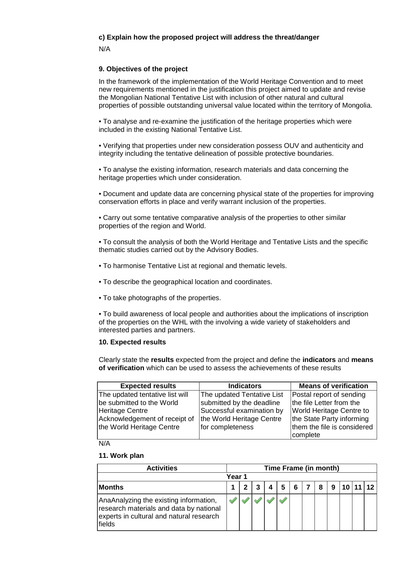# **c) Explain how the proposed project will address the threat/danger**

N/A

# **9. Objectives of the project**

In the framework of the implementation of the World Heritage Convention and to meet new requirements mentioned in the justification this project aimed to update and revise the Mongolian National Tentative List with inclusion of other natural and cultural properties of possible outstanding universal value located within the territory of Mongolia.

• To analyse and re-examine the justification of the heritage properties which were included in the existing National Tentative List.

• Verifying that properties under new consideration possess OUV and authenticity and integrity including the tentative delineation of possible protective boundaries.

• To analyse the existing information, research materials and data concerning the heritage properties which under consideration.

• Document and update data are concerning physical state of the properties for improving conservation efforts in place and verify warrant inclusion of the properties.

• Carry out some tentative comparative analysis of the properties to other similar properties of the region and World.

• To consult the analysis of both the World Heritage and Tentative Lists and the specific thematic studies carried out by the Advisory Bodies.

- To harmonise Tentative List at regional and thematic levels.
- To describe the geographical location and coordinates.
- To take photographs of the properties.

• To build awareness of local people and authorities about the implications of inscription of the properties on the WHL with the involving a wide variety of stakeholders and interested parties and partners.

#### **10. Expected results**

Clearly state the **results** expected from the project and define the **indicators** and **means of verification** which can be used to assess the achievements of these results

| <b>Expected results</b>         | <b>Indicators</b>          | <b>Means of verification</b> |
|---------------------------------|----------------------------|------------------------------|
| The updated tentative list will | The updated Tentative List | Postal report of sending     |
| be submitted to the World       | submitted by the deadline  | the file Letter from the     |
| Heritage Centre                 | Successful examination by  | World Heritage Centre to     |
| Acknowledgement of receipt of   | the World Heritage Centre  | the State Party informing    |
| the World Heritage Centre       | for completeness           | them the file is considered  |
|                                 |                            | lcomplete                    |

N/A

#### **11. Work plan**

| <b>Activities</b>                                                                                                                        |  | Time Frame (in month) |  |  |   |   |  |   |   |  |       |  |
|------------------------------------------------------------------------------------------------------------------------------------------|--|-----------------------|--|--|---|---|--|---|---|--|-------|--|
| Year 1                                                                                                                                   |  |                       |  |  |   |   |  |   |   |  |       |  |
| <b>Months</b>                                                                                                                            |  |                       |  |  | 5 | 6 |  | 8 | 9 |  | 11 12 |  |
| AnaAnalyzing the existing information,<br>research materials and data by national<br>experts in cultural and natural research<br> fields |  |                       |  |  |   |   |  |   |   |  |       |  |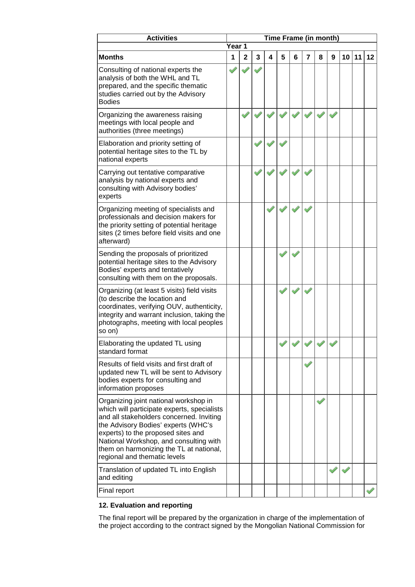| <b>Activities</b><br>Time Frame (in month)                                                                                                                                                                                                                                                                                         |        |              |   |   |   |   |                |   |   |    |    |    |
|------------------------------------------------------------------------------------------------------------------------------------------------------------------------------------------------------------------------------------------------------------------------------------------------------------------------------------|--------|--------------|---|---|---|---|----------------|---|---|----|----|----|
|                                                                                                                                                                                                                                                                                                                                    | Year 1 |              |   |   |   |   |                |   |   |    |    |    |
| <b>Months</b>                                                                                                                                                                                                                                                                                                                      | 1      | $\mathbf{2}$ | 3 | 4 | 5 | 6 | $\overline{7}$ | 8 | 9 | 10 | 11 | 12 |
| Consulting of national experts the<br>analysis of both the WHL and TL<br>prepared, and the specific thematic<br>studies carried out by the Advisory<br><b>Bodies</b>                                                                                                                                                               |        |              |   |   |   |   |                |   |   |    |    |    |
| Organizing the awareness raising<br>meetings with local people and<br>authorities (three meetings)                                                                                                                                                                                                                                 |        |              |   |   |   |   |                |   |   |    |    |    |
| Elaboration and priority setting of<br>potential heritage sites to the TL by<br>national experts                                                                                                                                                                                                                                   |        |              |   |   |   |   |                |   |   |    |    |    |
| Carrying out tentative comparative<br>analysis by national experts and<br>consulting with Advisory bodies'<br>experts                                                                                                                                                                                                              |        |              |   |   |   |   |                |   |   |    |    |    |
| Organizing meeting of specialists and<br>professionals and decision makers for<br>the priority setting of potential heritage<br>sites (2 times before field visits and one<br>afterward)                                                                                                                                           |        |              |   |   |   |   |                |   |   |    |    |    |
| Sending the proposals of prioritized<br>potential heritage sites to the Advisory<br>Bodies' experts and tentatively<br>consulting with them on the proposals.                                                                                                                                                                      |        |              |   |   |   |   |                |   |   |    |    |    |
| Organizing (at least 5 visits) field visits<br>(to describe the location and<br>coordinates, verifying OUV, authenticity,<br>integrity and warrant inclusion, taking the<br>photographs, meeting with local peoples<br>so on)                                                                                                      |        |              |   |   |   |   |                |   |   |    |    |    |
| Elaborating the updated TL using<br>standard format                                                                                                                                                                                                                                                                                |        |              |   |   |   |   |                |   |   |    |    |    |
| Results of field visits and first draft of<br>updated new TL will be sent to Advisory<br>bodies experts for consulting and<br>information proposes                                                                                                                                                                                 |        |              |   |   |   |   |                |   |   |    |    |    |
| Organizing joint national workshop in<br>which will participate experts, specialists<br>and all stakeholders concerned. Inviting<br>the Advisory Bodies' experts (WHC's<br>experts) to the proposed sites and<br>National Workshop, and consulting with<br>them on harmonizing the TL at national,<br>regional and thematic levels |        |              |   |   |   |   |                |   |   |    |    |    |
| Translation of updated TL into English<br>and editing                                                                                                                                                                                                                                                                              |        |              |   |   |   |   |                |   |   |    |    |    |
| Final report                                                                                                                                                                                                                                                                                                                       |        |              |   |   |   |   |                |   |   |    |    |    |

# **12. Evaluation and reporting**

The final report will be prepared by the organization in charge of the implementation of the project according to the contract signed by the Mongolian National Commission for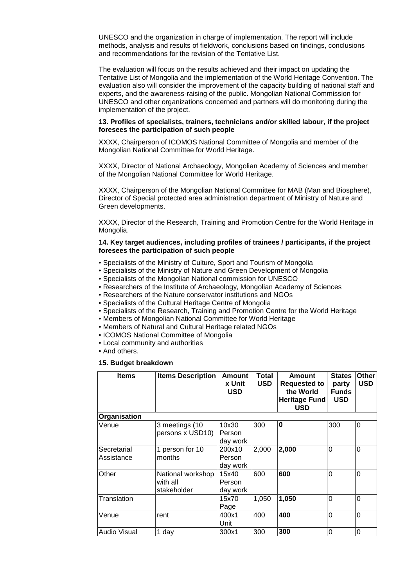UNESCO and the organization in charge of implementation. The report will include methods, analysis and results of fieldwork, conclusions based on findings, conclusions and recommendations for the revision of the Tentative List.

The evaluation will focus on the results achieved and their impact on updating the Tentative List of Mongolia and the implementation of the World Heritage Convention. The evaluation also will consider the improvement of the capacity building of national staff and experts, and the awareness-raising of the public. Mongolian National Commission for UNESCO and other organizations concerned and partners will do monitoring during the implementation of the project.

#### **13. Profiles of specialists, trainers, technicians and/or skilled labour, if the project foresees the participation of such people**

XXXX, Chairperson of ICOMOS National Committee of Mongolia and member of the Mongolian National Committee for World Heritage.

XXXX, Director of National Archaeology, Mongolian Academy of Sciences and member of the Mongolian National Committee for World Heritage.

XXXX, Chairperson of the Mongolian National Committee for MAB (Man and Biosphere), Director of Special protected area administration department of Ministry of Nature and Green developments.

XXXX, Director of the Research, Training and Promotion Centre for the World Heritage in Mongolia.

#### **14. Key target audiences, including profiles of trainees / participants, if the project foresees the participation of such people**

- Specialists of the Ministry of Culture, Sport and Tourism of Mongolia
- Specialists of the Ministry of Nature and Green Development of Mongolia
- Specialists of the Mongolian National commission for UNESCO
- Researchers of the Institute of Archaeology, Mongolian Academy of Sciences
- Researchers of the Nature conservator institutions and NGOs
- Specialists of the Cultural Heritage Centre of Mongolia
- Specialists of the Research, Training and Promotion Centre for the World Heritage
- Members of Mongolian National Committee for World Heritage
- Members of Natural and Cultural Heritage related NGOs
- ICOMOS National Committee of Mongolia
- Local community and authorities
- And others.

#### **15. Budget breakdown**

| <b>Items</b>              | <b>Items Description</b>                     | <b>Amount</b><br>x Unit<br><b>USD</b> | <b>Total</b><br><b>USD</b> | <b>Amount</b><br><b>Requested to</b><br>the World<br><b>Heritage Fund</b><br><b>USD</b> | <b>States</b><br>party<br><b>Funds</b><br><b>USD</b> | Other<br><b>USD</b> |
|---------------------------|----------------------------------------------|---------------------------------------|----------------------------|-----------------------------------------------------------------------------------------|------------------------------------------------------|---------------------|
| Organisation              |                                              |                                       |                            |                                                                                         |                                                      |                     |
| Venue                     | 3 meetings (10<br>persons x USD10)           | 10x30<br>Person<br>day work           | 300                        | 0                                                                                       | 300                                                  | $\Omega$            |
| Secretarial<br>Assistance | 1 person for 10<br>months                    | 200x10<br>Person<br>day work          | 2,000                      | 2,000                                                                                   | $\Omega$                                             | $\overline{0}$      |
| Other                     | National workshop<br>with all<br>stakeholder | 15x40<br>Person<br>day work           | 600                        | 600                                                                                     | $\Omega$                                             | $\Omega$            |
| Translation               |                                              | 15x70<br>Page                         | 1,050                      | 1,050                                                                                   | $\overline{0}$                                       | $\Omega$            |
| Venue                     | rent                                         | 400x1<br>Unit                         | 400                        | 400                                                                                     | $\Omega$                                             | $\overline{0}$      |
| Audio Visual              | 1 day                                        | 300x1                                 | 300                        | 300                                                                                     | 0                                                    | 0                   |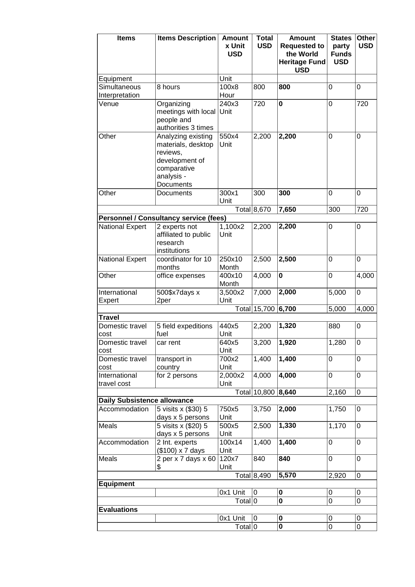| <b>Items</b>                                        | <b>Items Description</b>                      | <b>Amount</b>        | <b>Total</b>     | <b>Amount</b>                               | <b>States</b>              | Other               |
|-----------------------------------------------------|-----------------------------------------------|----------------------|------------------|---------------------------------------------|----------------------------|---------------------|
|                                                     |                                               | x Unit<br><b>USD</b> | <b>USD</b>       | <b>Requested to</b><br>the World            | party                      | <b>USD</b>          |
|                                                     |                                               |                      |                  | <b>Heritage Fund</b>                        | <b>Funds</b><br><b>USD</b> |                     |
|                                                     |                                               |                      |                  | <b>USD</b>                                  |                            |                     |
| Equipment                                           |                                               | Unit                 |                  |                                             |                            |                     |
| Simultaneous                                        | 8 hours                                       | 100x8                | 800              | 800                                         | 0                          | 0                   |
| Interpretation                                      |                                               | Hour                 |                  |                                             |                            |                     |
| Venue                                               | Organizing<br>meetings with local Unit        | 240x3                | 720              | $\mathbf 0$                                 | 0                          | 720                 |
|                                                     | people and                                    |                      |                  |                                             |                            |                     |
|                                                     | authorities 3 times                           |                      |                  |                                             |                            |                     |
| Other                                               | Analyzing existing                            | 550x4                | 2,200            | 2,200                                       | $\mathbf 0$                | 0                   |
|                                                     | materials, desktop                            | Unit                 |                  |                                             |                            |                     |
|                                                     | reviews,<br>development of                    |                      |                  |                                             |                            |                     |
|                                                     | comparative                                   |                      |                  |                                             |                            |                     |
|                                                     | analysis -                                    |                      |                  |                                             |                            |                     |
|                                                     | Documents                                     |                      |                  |                                             |                            |                     |
| Other                                               | Documents                                     | 300x1                | 300              | 300                                         | 0                          | 0                   |
|                                                     |                                               | Unit                 | Total 8,670      | 7,650                                       | 300                        | 720                 |
|                                                     | <b>Personnel / Consultancy service (fees)</b> |                      |                  |                                             |                            |                     |
| <b>National Expert</b>                              | 2 experts not                                 | 1,100x2              | 2,200            | 2,200                                       | $\boldsymbol{0}$           | 0                   |
|                                                     | affiliated to public                          | Unit                 |                  |                                             |                            |                     |
|                                                     | research                                      |                      |                  |                                             |                            |                     |
| <b>National Expert</b>                              | institutions<br>coordinator for 10            | 250x10               | 2,500            | 2,500                                       | 0                          | 0                   |
|                                                     | months                                        | Month                |                  |                                             |                            |                     |
| Other                                               | office expenses                               | 400x10               | 4,000            | $\mathbf 0$                                 | $\mathbf 0$                | 4,000               |
|                                                     |                                               | Month                |                  |                                             |                            |                     |
| International                                       | 500\$x7days x                                 | 3,500x2              | 7,000            | 2,000                                       | 5,000                      | 0                   |
| Expert                                              | 2per                                          | Unit                 | Total 15,700     | 6,700                                       | 5,000                      | 4,000               |
| <b>Travel</b>                                       |                                               |                      |                  |                                             |                            |                     |
| Domestic travel                                     | 5 field expeditions                           | 440x5                | 2,200            | 1,320                                       | 880                        | 0                   |
| cost                                                | fuel                                          | Unit                 |                  |                                             |                            |                     |
| Domestic travel                                     | car rent                                      | 640x5<br>Unit        | 3,200            | 1,920                                       | 1,280                      | 0                   |
| cost<br>Domestic travel                             | transport in                                  | 700x2                | 1,400            | 1,400                                       | 0                          | $\mathbf 0$         |
| cost                                                | country                                       | Unit                 |                  |                                             |                            |                     |
| International                                       | for 2 persons                                 | 2,000x2              | 4,000            | 4,000                                       | $\mathsf 0$                | $\mathbf 0$         |
| travel cost                                         |                                               | Unit                 |                  |                                             |                            |                     |
|                                                     |                                               |                      | Total 10,800     | 8,640                                       | 2,160                      | 0                   |
| <b>Daily Subsistence allowance</b><br>Accommodation | 5 visits x (\$30) 5                           | 750x5                | 3,750            | 2,000                                       | 1,750                      | $\mathbf 0$         |
|                                                     | days x 5 persons                              | Unit                 |                  |                                             |                            |                     |
| Meals                                               | 5 visits x (\$20) 5                           | 500x5                | 2,500            | 1,330                                       | 1,170                      | $\mathbf 0$         |
|                                                     | days x 5 persons                              | Unit                 |                  |                                             |                            |                     |
| Accommodation                                       | 2 Int. experts<br>(\$100) x 7 days            | 100x14<br>Unit       | 1,400            | 1,400                                       | $\boldsymbol{0}$           | 0                   |
| Meals                                               | 2 per x 7 days $x$ 60                         | 120x7                | 840              | 840                                         | 0                          | 0                   |
|                                                     | \$                                            | Unit                 |                  |                                             |                            |                     |
|                                                     |                                               |                      | Total $8,490$    | 5,570                                       | 2,920                      | 0                   |
| <b>Equipment</b>                                    |                                               |                      |                  |                                             |                            |                     |
|                                                     |                                               | 0x1 Unit             | $\boldsymbol{0}$ | $\boldsymbol{0}$<br>$\overline{\mathbf{0}}$ | 0<br>$\overline{0}$        | 0<br>$\overline{0}$ |
| <b>Evaluations</b>                                  |                                               | Total 0              |                  |                                             |                            |                     |
|                                                     |                                               | 0x1 Unit             | $\pmb{0}$        | 0                                           | 0                          | 0                   |
|                                                     |                                               | Total 0              |                  | $\overline{\mathbf{0}}$                     | $\overline{0}$             | $\overline{0}$      |
|                                                     |                                               |                      |                  |                                             |                            |                     |